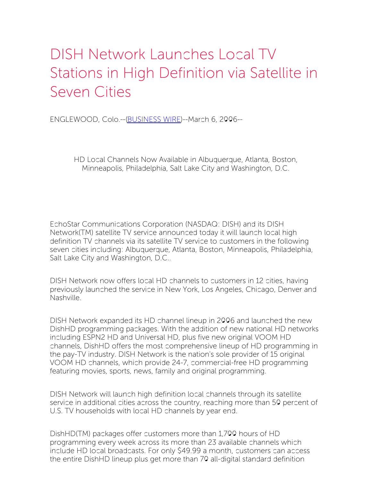## DISH Network Launches Local TV Stations in High Definition via Satellite in Seven Cities

ENGLEWOOD, Colo.--[\(BUSINESS](http://www.businesswire.com/) WIRE)--March 6, 2006--

HD Local Channels Now Available in Albuquerque, Atlanta, Boston, Minneapolis, Philadelphia, Salt Lake City and Washington, D.C.

EchoStar Communications Corporation (NASDAQ: DISH) and its DISH Network(TM) satellite TV service announced today it will launch local high definition TV channels via its satellite TV service to customers in the following seven cities including: Albuquerque, Atlanta, Boston, Minneapolis, Philadelphia, Salt Lake City and Washington, D.C..

DISH Network now offers local HD channels to customers in 12 cities, having previously launched the service in New York, Los Angeles, Chicago, Denver and Nashville.

DISH Network expanded its HD channel lineup in 2006 and launched the new DishHD programming packages. With the addition of new national HD networks including ESPN2 HD and Universal HD, plus five new original VOOM HD channels, DishHD offers the most comprehensive lineup of HD programming in the pay-TV industry. DISH Network is the nation's sole provider of 15 original VOOM HD channels, which provide 24-7, commercial-free HD programming featuring movies, sports, news, family and original programming.

DISH Network will launch high definition local channels through its satellite service in additional cities across the country, reaching more than 50 percent of U.S. TV households with local HD channels by year end.

DishHD(TM) packages offer customers more than 1,700 hours of HD programming every week across its more than 23 available channels which include HD local broadcasts. For only \$49.99 a month, customers can access the entire DishHD lineup plus get more than 70 all-digital standard definition